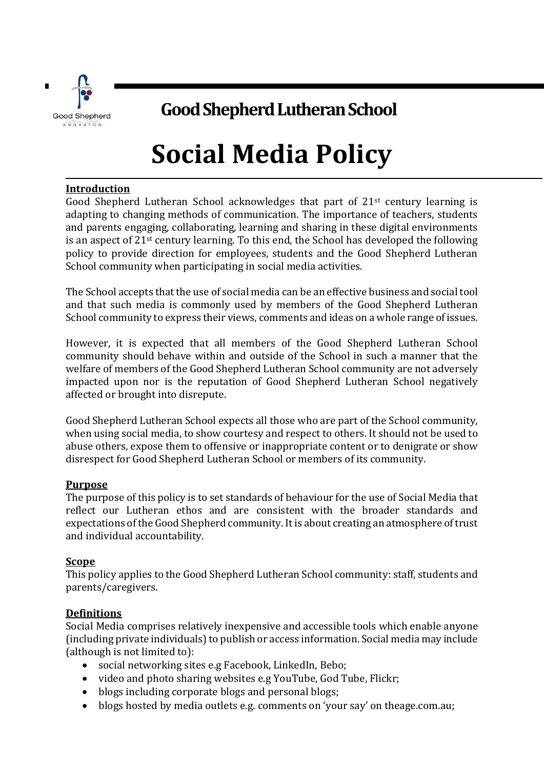

# **Good Shepherd Lutheran School**

# **Social Media Policy**

# **Introduction**

Good Shepherd Lutheran School acknowledges that part of  $21<sup>st</sup>$  century learning is adapting to changing methods of communication. The importance of teachers, students and parents engaging, collaborating, learning and sharing in these digital environments is an aspect of 21st century learning. To this end, the School has developed the following policy to provide direction for employees, students and the Good Shepherd Lutheran School community when participating in social media activities.

The School accepts that the use of social media can be an effective business and social tool and that such media is commonly used by members of the Good Shepherd Lutheran School community to express their views, comments and ideas on a whole range of issues.

However, it is expected that all members of the Good Shepherd Lutheran School community should behave within and outside of the School in such a manner that the welfare of members of the Good Shepherd Lutheran School community are not adversely impacted upon nor is the reputation of Good Shepherd Lutheran School negatively affected or brought into disrepute.

Good Shepherd Lutheran School expects all those who are part of the School community, when using social media, to show courtesy and respect to others. It should not be used to abuse others, expose them to offensive or inappropriate content or to denigrate or show disrespect for Good Shepherd Lutheran School or members of its community.

#### **Purpose**

The purpose of this policy is to set standards of behaviour for the use of Social Media that reflect our Lutheran ethos and are consistent with the broader standards and expectations of the Good Shepherd community. It is about creating an atmosphere of trust and individual accountability.

#### **Scope**

This policy applies to the Good Shepherd Lutheran School community: staff, students and parents/caregivers.

#### **Definitions**

Social Media comprises relatively inexpensive and accessible tools which enable anyone (including private individuals) to publish or access information. Social media may include (although is not limited to):

- social networking sites e.g Facebook, LinkedIn, Bebo;
- video and photo sharing websites e.g YouTube, God Tube, Flickr;
- blogs including corporate blogs and personal blogs;
- blogs hosted by media outlets e.g. comments on 'your say' on theage.com.au;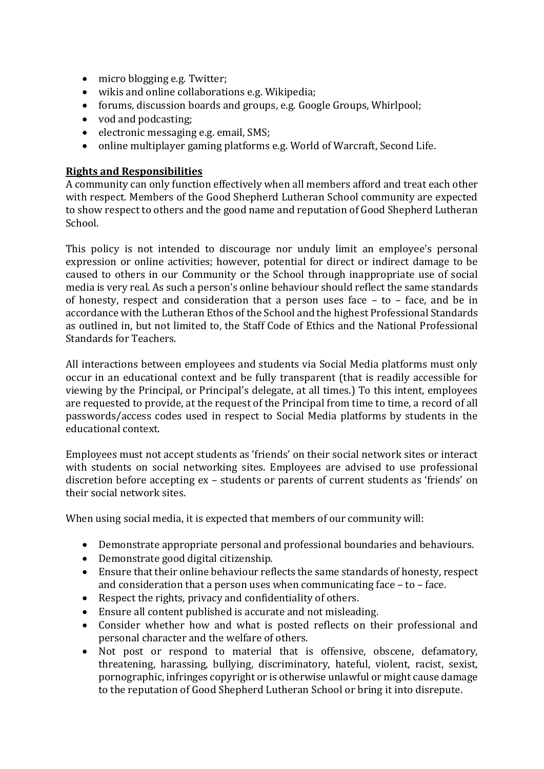- micro blogging e.g. Twitter;
- wikis and online collaborations e.g. Wikipedia;
- forums, discussion boards and groups, e.g. Google Groups, Whirlpool;
- vod and podcasting;
- electronic messaging e.g. email, SMS;
- online multiplayer gaming platforms e.g. World of Warcraft, Second Life.

# **Rights and Responsibilities**

A community can only function effectively when all members afford and treat each other with respect. Members of the Good Shepherd Lutheran School community are expected to show respect to others and the good name and reputation of Good Shepherd Lutheran School.

This policy is not intended to discourage nor unduly limit an employee's personal expression or online activities; however, potential for direct or indirect damage to be caused to others in our Community or the School through inappropriate use of social media is very real. As such a person's online behaviour should reflect the same standards of honesty, respect and consideration that a person uses face – to – face, and be in accordance with the Lutheran Ethos of the School and the highest Professional Standards as outlined in, but not limited to, the Staff Code of Ethics and the National Professional Standards for Teachers.

All interactions between employees and students via Social Media platforms must only occur in an educational context and be fully transparent (that is readily accessible for viewing by the Principal, or Principal's delegate, at all times.) To this intent, employees are requested to provide, at the request of the Principal from time to time, a record of all passwords/access codes used in respect to Social Media platforms by students in the educational context.

Employees must not accept students as 'friends' on their social network sites or interact with students on social networking sites. Employees are advised to use professional discretion before accepting ex – students or parents of current students as 'friends' on their social network sites.

When using social media, it is expected that members of our community will:

- Demonstrate appropriate personal and professional boundaries and behaviours.
- Demonstrate good digital citizenship.
- Ensure that their online behaviour reflects the same standards of honesty, respect and consideration that a person uses when communicating face – to – face.
- Respect the rights, privacy and confidentiality of others.
- Ensure all content published is accurate and not misleading.
- Consider whether how and what is posted reflects on their professional and personal character and the welfare of others.
- Not post or respond to material that is offensive, obscene, defamatory, threatening, harassing, bullying, discriminatory, hateful, violent, racist, sexist, pornographic, infringes copyright or is otherwise unlawful or might cause damage to the reputation of Good Shepherd Lutheran School or bring it into disrepute.